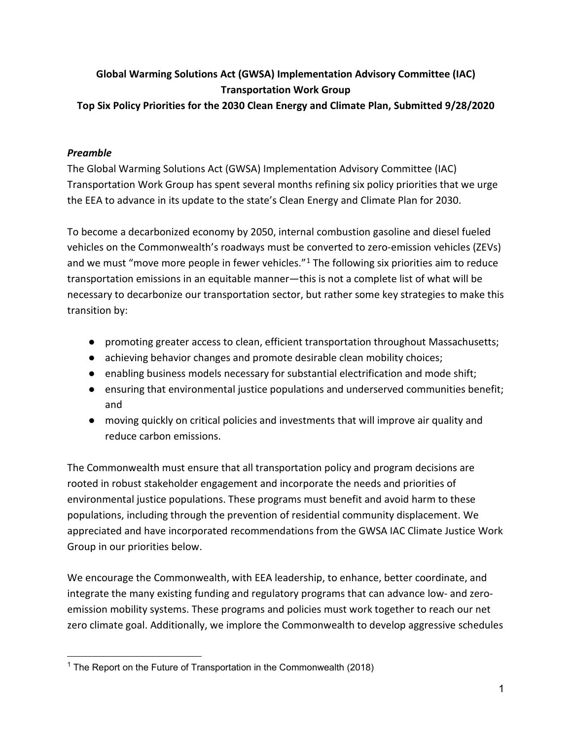# **Global Warming Solutions Act (GWSA) Implementation Advisory Committee (IAC) Transportation Work Group**

**Top Six Policy Priorities for the 2030 Clean Energy and Climate Plan, Submitted 9/28/2020**

# *Preamble*

The Global Warming Solutions Act (GWSA) Implementation Advisory Committee (IAC) Transportation Work Group has spent several months refining six policy priorities that we urge the EEA to advance in its update to the state's Clean Energy and Climate Plan for 2030.

To become a decarbonized economy by 2050, internal combustion gasoline and diesel fueled vehicles on the Commonwealth's roadways must be converted to zero-emission vehicles (ZEVs) and we must "move more people in fewer vehicles." $1$  The following six priorities aim to reduce transportation emissions in an equitable manner—this is not a complete list of what will be necessary to decarbonize our transportation sector, but rather some key strategies to make this transition by:

- promoting greater access to clean, efficient transportation throughout Massachusetts;
- achieving behavior changes and promote desirable clean mobility choices;
- enabling business models necessary for substantial electrification and mode shift;
- ensuring that environmental justice populations and underserved communities benefit; and
- moving quickly on critical policies and investments that will improve air quality and reduce carbon emissions.

The Commonwealth must ensure that all transportation policy and program decisions are rooted in robust stakeholder engagement and incorporate the needs and priorities of environmental justice populations. These programs must benefit and avoid harm to these populations, including through the prevention of residential community displacement. We appreciated and have incorporated recommendations from the GWSA IAC Climate Justice Work Group in our priorities below.

We encourage the Commonwealth, with EEA leadership, to enhance, better coordinate, and integrate the many existing funding and regulatory programs that can advance low- and zeroemission mobility systems. These programs and policies must work together to reach our net zero climate goal. Additionally, we implore the Commonwealth to develop aggressive schedules

<span id="page-0-0"></span><sup>&</sup>lt;sup>1</sup> The Report on the Future of Transportation in the Commonwealth (2018)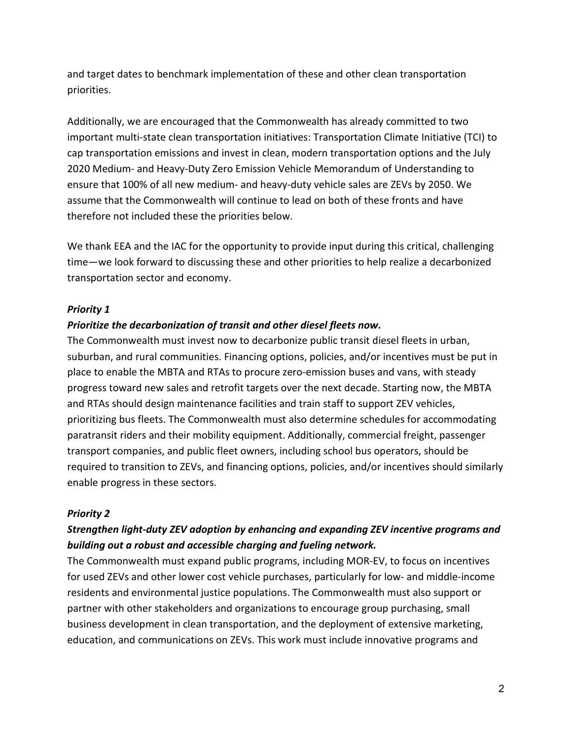and target dates to benchmark implementation of these and other clean transportation priorities.

Additionally, we are encouraged that the Commonwealth has already committed to two important multi-state clean transportation initiatives: Transportation Climate Initiative (TCI) to cap transportation emissions and invest in clean, modern transportation options and the July 2020 Medium- and Heavy-Duty Zero Emission Vehicle Memorandum of Understanding to ensure that 100% of all new medium- and heavy-duty vehicle sales are ZEVs by 2050. We assume that the Commonwealth will continue to lead on both of these fronts and have therefore not included these the priorities below.

We thank EEA and the IAC for the opportunity to provide input during this critical, challenging time—we look forward to discussing these and other priorities to help realize a decarbonized transportation sector and economy.

### *Priority 1*

### *Prioritize the decarbonization of transit and other diesel fleets now.*

The Commonwealth must invest now to decarbonize public transit diesel fleets in urban, suburban, and rural communities. Financing options, policies, and/or incentives must be put in place to enable the MBTA and RTAs to procure zero-emission buses and vans, with steady progress toward new sales and retrofit targets over the next decade. Starting now, the MBTA and RTAs should design maintenance facilities and train staff to support ZEV vehicles, prioritizing bus fleets. The Commonwealth must also determine schedules for accommodating paratransit riders and their mobility equipment. Additionally, commercial freight, passenger transport companies, and public fleet owners, including school bus operators, should be required to transition to ZEVs, and financing options, policies, and/or incentives should similarly enable progress in these sectors.

### *Priority 2*

# *Strengthen light-duty ZEV adoption by enhancing and expanding ZEV incentive programs and building out a robust and accessible charging and fueling network.*

The Commonwealth must expand public programs, including MOR-EV, to focus on incentives for used ZEVs and other lower cost vehicle purchases, particularly for low- and middle-income residents and environmental justice populations. The Commonwealth must also support or partner with other stakeholders and organizations to encourage group purchasing, small business development in clean transportation, and the deployment of extensive marketing, education, and communications on ZEVs. This work must include innovative programs and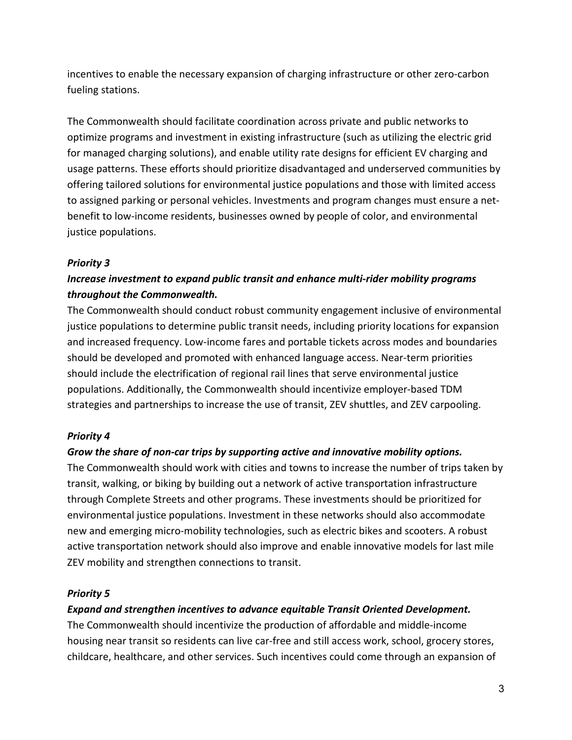incentives to enable the necessary expansion of charging infrastructure or other zero-carbon fueling stations.

The Commonwealth should facilitate coordination across private and public networks to optimize programs and investment in existing infrastructure (such as utilizing the electric grid for managed charging solutions), and enable utility rate designs for efficient EV charging and usage patterns. These efforts should prioritize disadvantaged and underserved communities by offering tailored solutions for environmental justice populations and those with limited access to assigned parking or personal vehicles. Investments and program changes must ensure a netbenefit to low-income residents, businesses owned by people of color, and environmental justice populations.

### *Priority 3*

# *Increase investment to expand public transit and enhance multi-rider mobility programs throughout the Commonwealth.*

The Commonwealth should conduct robust community engagement inclusive of environmental justice populations to determine public transit needs, including priority locations for expansion and increased frequency. Low-income fares and portable tickets across modes and boundaries should be developed and promoted with enhanced language access. Near-term priorities should include the electrification of regional rail lines that serve environmental justice populations. Additionally, the Commonwealth should incentivize employer-based TDM strategies and partnerships to increase the use of transit, ZEV shuttles, and ZEV carpooling.

## *Priority 4*

## *Grow the share of non-car trips by supporting active and innovative mobility options.*

The Commonwealth should work with cities and towns to increase the number of trips taken by transit, walking, or biking by building out a network of active transportation infrastructure through Complete Streets and other programs. These investments should be prioritized for environmental justice populations. Investment in these networks should also accommodate new and emerging micro-mobility technologies, such as electric bikes and scooters. A robust active transportation network should also improve and enable innovative models for last mile ZEV mobility and strengthen connections to transit.

## *Priority 5*

## *Expand and strengthen incentives to advance equitable Transit Oriented Development.*

The Commonwealth should incentivize the production of affordable and middle-income housing near transit so residents can live car-free and still access work, school, grocery stores, childcare, healthcare, and other services. Such incentives could come through an expansion of